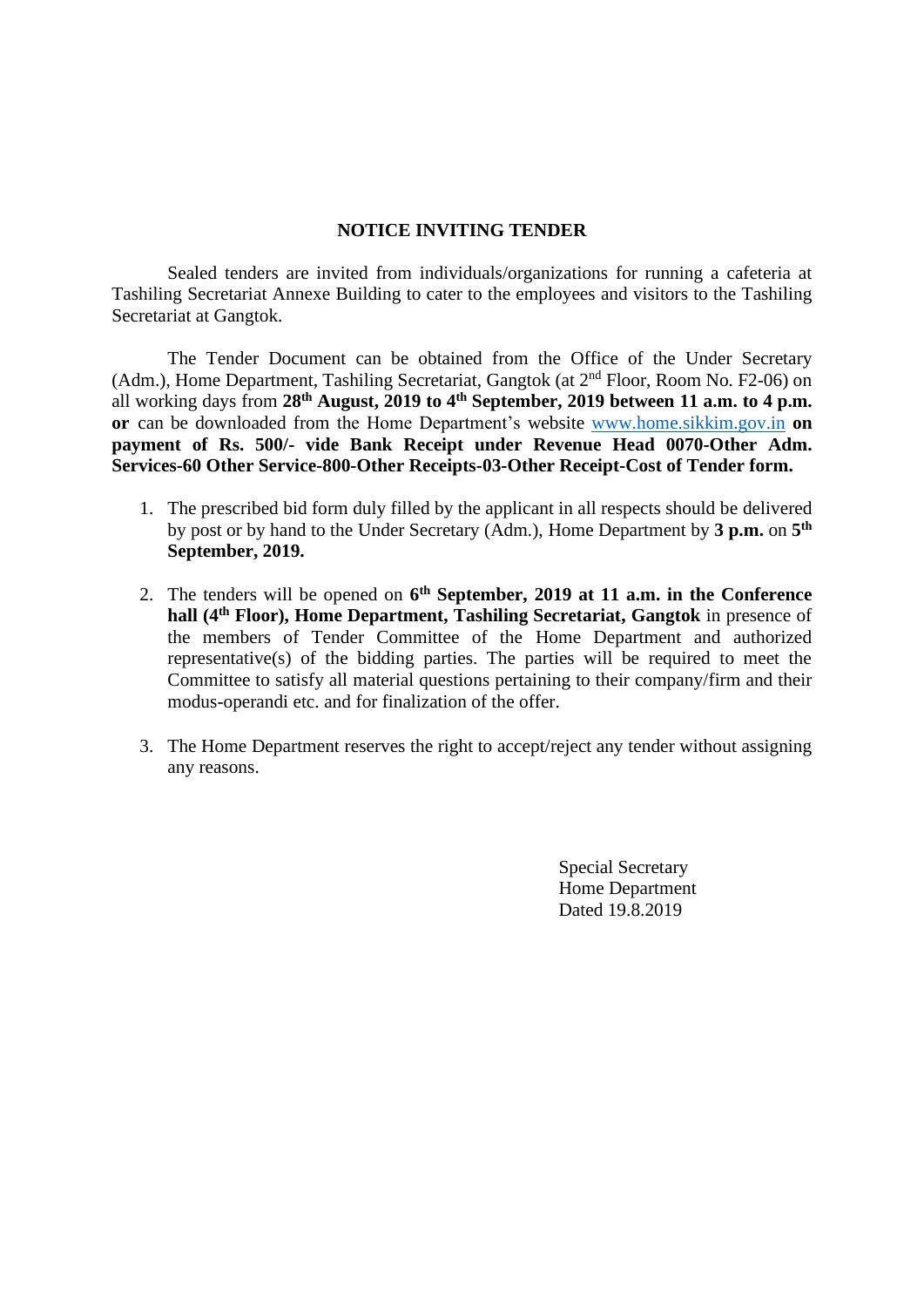#### **NOTICE INVITING TENDER**

Sealed tenders are invited from individuals/organizations for running a cafeteria at Tashiling Secretariat Annexe Building to cater to the employees and visitors to the Tashiling Secretariat at Gangtok.

The Tender Document can be obtained from the Office of the Under Secretary (Adm.), Home Department, Tashiling Secretariat, Gangtok (at 2<sup>nd</sup> Floor, Room No. F2-06) on all working days from **28th August, 2019 to 4 th September, 2019 between 11 a.m. to 4 p.m. or** can be downloaded from the Home Department's website [www.home.sikkim.gov.in](http://www.home.sikkim.gov.in/) **on payment of Rs. 500/- vide Bank Receipt under Revenue Head 0070-Other Adm. Services-60 Other Service-800-Other Receipts-03-Other Receipt-Cost of Tender form.**

- 1. The prescribed bid form duly filled by the applicant in all respects should be delivered by post or by hand to the Under Secretary (Adm.), Home Department by **3 p.m.** on **5 th September, 2019.**
- 2. The tenders will be opened on **6 th September, 2019 at 11 a.m. in the Conference hall (4th Floor), Home Department, Tashiling Secretariat, Gangtok** in presence of the members of Tender Committee of the Home Department and authorized representative(s) of the bidding parties. The parties will be required to meet the Committee to satisfy all material questions pertaining to their company/firm and their modus-operandi etc. and for finalization of the offer.
- 3. The Home Department reserves the right to accept/reject any tender without assigning any reasons.

Special Secretary Home Department Dated 19.8.2019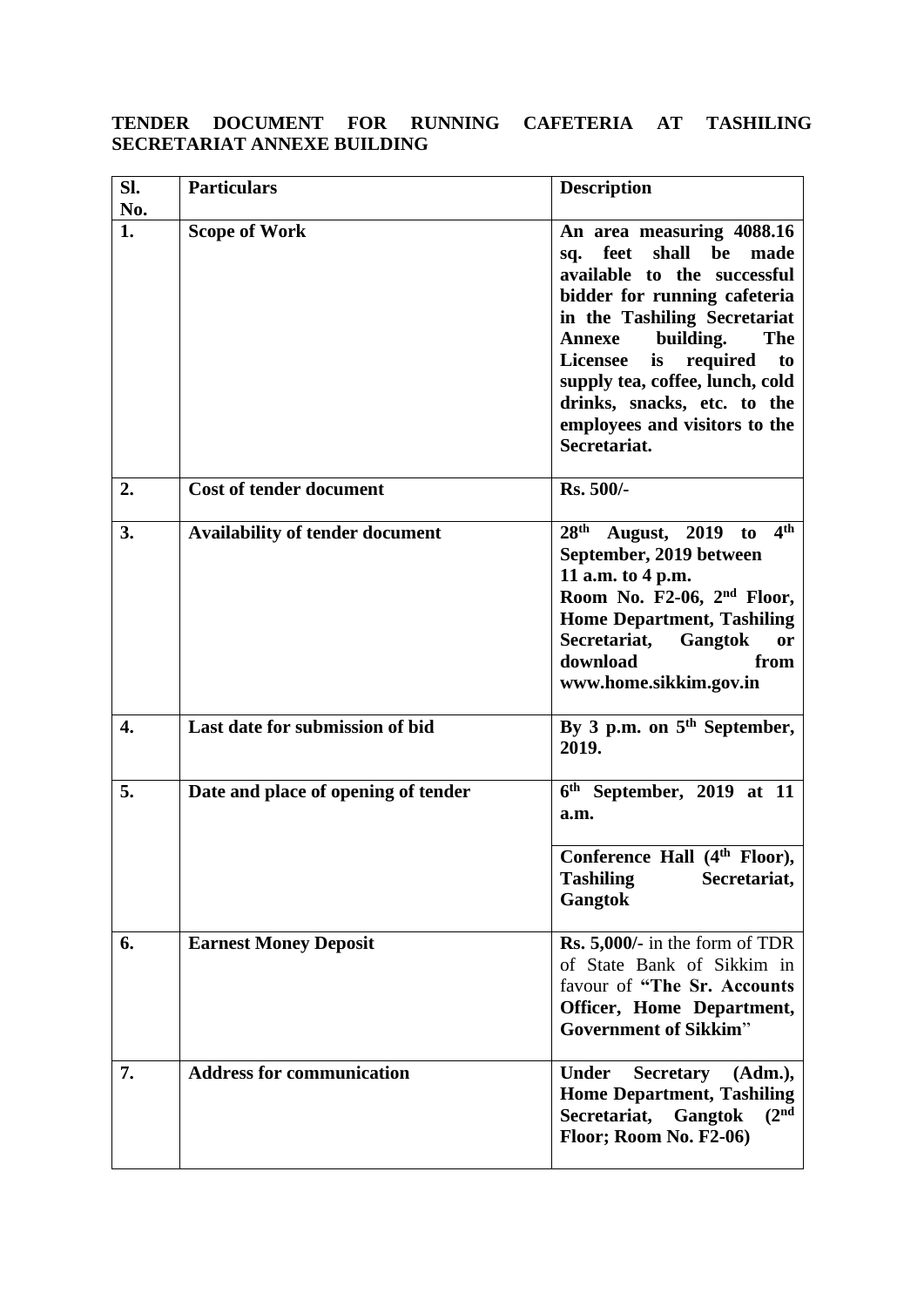# **TENDER DOCUMENT FOR RUNNING CAFETERIA AT TASHILING SECRETARIAT ANNEXE BUILDING**

| SI.<br>No. | <b>Particulars</b>                     | <b>Description</b>                                                                                                                                                                                                                                                                                                                                                 |
|------------|----------------------------------------|--------------------------------------------------------------------------------------------------------------------------------------------------------------------------------------------------------------------------------------------------------------------------------------------------------------------------------------------------------------------|
| 1.         | <b>Scope of Work</b>                   | An area measuring 4088.16<br>shall be<br>sq. feet<br>made<br>available to the successful<br>bidder for running cafeteria<br>in the Tashiling Secretariat<br>building.<br><b>Annexe</b><br><b>The</b><br>required<br><b>Licensee</b><br>is<br>to<br>supply tea, coffee, lunch, cold<br>drinks, snacks, etc. to the<br>employees and visitors to the<br>Secretariat. |
| 2.         | <b>Cost of tender document</b>         | Rs. 500/-                                                                                                                                                                                                                                                                                                                                                          |
| 3.         | <b>Availability of tender document</b> | $28th$ August, 2019 to 4 <sup>th</sup><br>September, 2019 between<br>11 a.m. to 4 p.m.<br>Room No. F2-06, 2nd Floor,<br><b>Home Department, Tashiling</b><br>Secretariat,<br>Gangtok<br>or<br>download<br>from<br>www.home.sikkim.gov.in                                                                                                                           |
| 4.         | Last date for submission of bid        | By 3 p.m. on 5 <sup>th</sup> September,<br>2019.                                                                                                                                                                                                                                                                                                                   |
| 5.         | Date and place of opening of tender    | $6th$ September, 2019 at 11<br>a.m.                                                                                                                                                                                                                                                                                                                                |
|            |                                        | Conference Hall (4 <sup>th</sup> Floor),<br><b>Tashiling</b><br>Secretariat,<br>Gangtok                                                                                                                                                                                                                                                                            |
| 6.         | <b>Earnest Money Deposit</b>           | Rs. 5,000/- in the form of TDR<br>of State Bank of Sikkim in<br>favour of "The Sr. Accounts<br>Officer, Home Department,<br><b>Government of Sikkim"</b>                                                                                                                                                                                                           |
| 7.         | <b>Address for communication</b>       | <b>Under</b><br>Secretary (Adm.),<br><b>Home Department, Tashiling</b><br>(2 <sup>nd</sup><br>Secretariat,<br>Gangtok<br><b>Floor; Room No. F2-06)</b>                                                                                                                                                                                                             |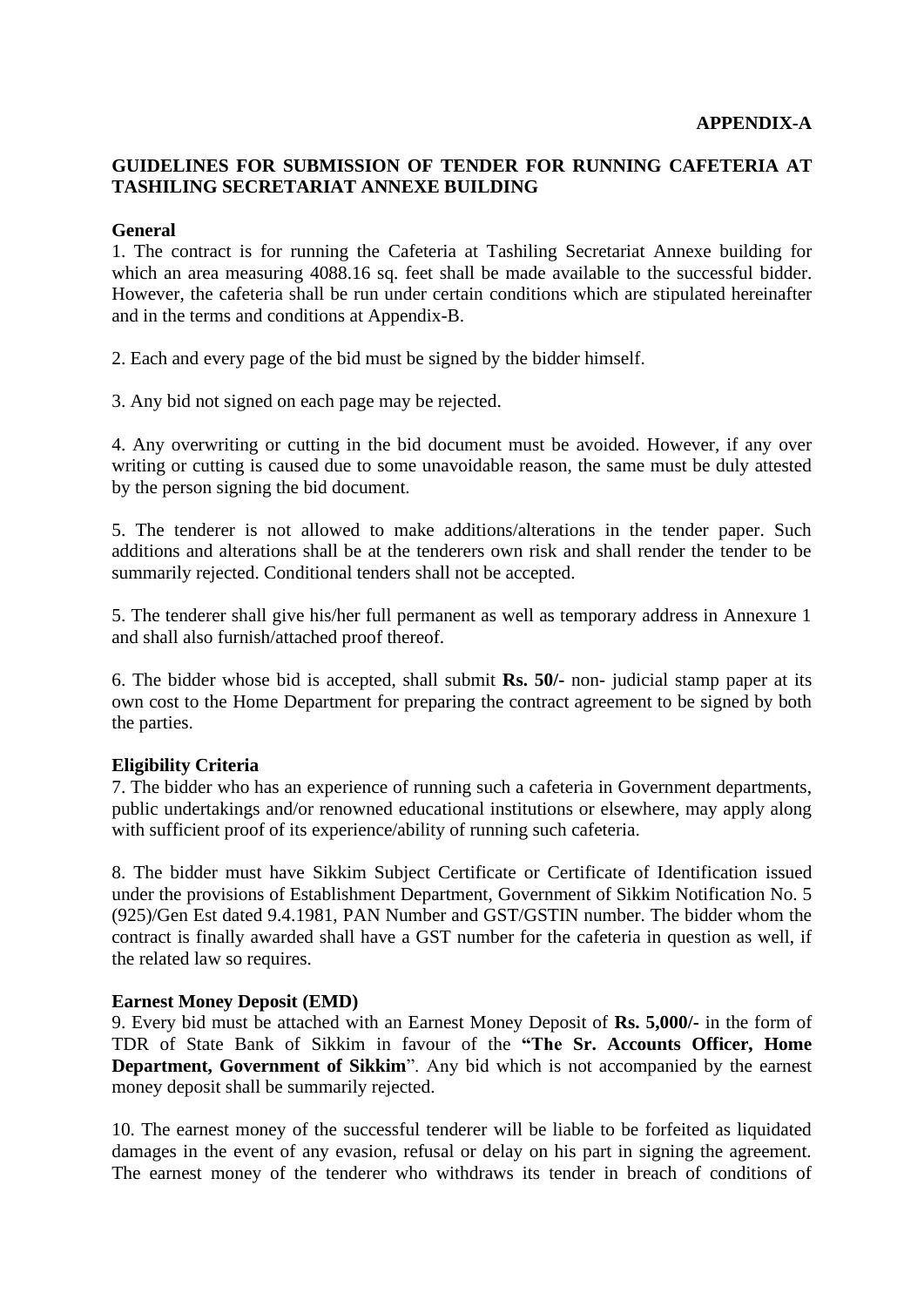## **GUIDELINES FOR SUBMISSION OF TENDER FOR RUNNING CAFETERIA AT TASHILING SECRETARIAT ANNEXE BUILDING**

## **General**

1. The contract is for running the Cafeteria at Tashiling Secretariat Annexe building for which an area measuring 4088.16 sq. feet shall be made available to the successful bidder. However, the cafeteria shall be run under certain conditions which are stipulated hereinafter and in the terms and conditions at Appendix-B.

2. Each and every page of the bid must be signed by the bidder himself.

3. Any bid not signed on each page may be rejected.

4. Any overwriting or cutting in the bid document must be avoided. However, if any over writing or cutting is caused due to some unavoidable reason, the same must be duly attested by the person signing the bid document.

5. The tenderer is not allowed to make additions/alterations in the tender paper. Such additions and alterations shall be at the tenderers own risk and shall render the tender to be summarily rejected. Conditional tenders shall not be accepted.

5. The tenderer shall give his/her full permanent as well as temporary address in Annexure 1 and shall also furnish/attached proof thereof.

6. The bidder whose bid is accepted, shall submit **Rs. 50/-** non- judicial stamp paper at its own cost to the Home Department for preparing the contract agreement to be signed by both the parties.

## **Eligibility Criteria**

7. The bidder who has an experience of running such a cafeteria in Government departments, public undertakings and/or renowned educational institutions or elsewhere, may apply along with sufficient proof of its experience/ability of running such cafeteria.

8. The bidder must have Sikkim Subject Certificate or Certificate of Identification issued under the provisions of Establishment Department, Government of Sikkim Notification No. 5 (925)/Gen Est dated 9.4.1981, PAN Number and GST/GSTIN number. The bidder whom the contract is finally awarded shall have a GST number for the cafeteria in question as well, if the related law so requires.

## **Earnest Money Deposit (EMD)**

9. Every bid must be attached with an Earnest Money Deposit of **Rs. 5,000/-** in the form of TDR of State Bank of Sikkim in favour of the **"The Sr. Accounts Officer, Home Department, Government of Sikkim**". Any bid which is not accompanied by the earnest money deposit shall be summarily rejected.

10. The earnest money of the successful tenderer will be liable to be forfeited as liquidated damages in the event of any evasion, refusal or delay on his part in signing the agreement. The earnest money of the tenderer who withdraws its tender in breach of conditions of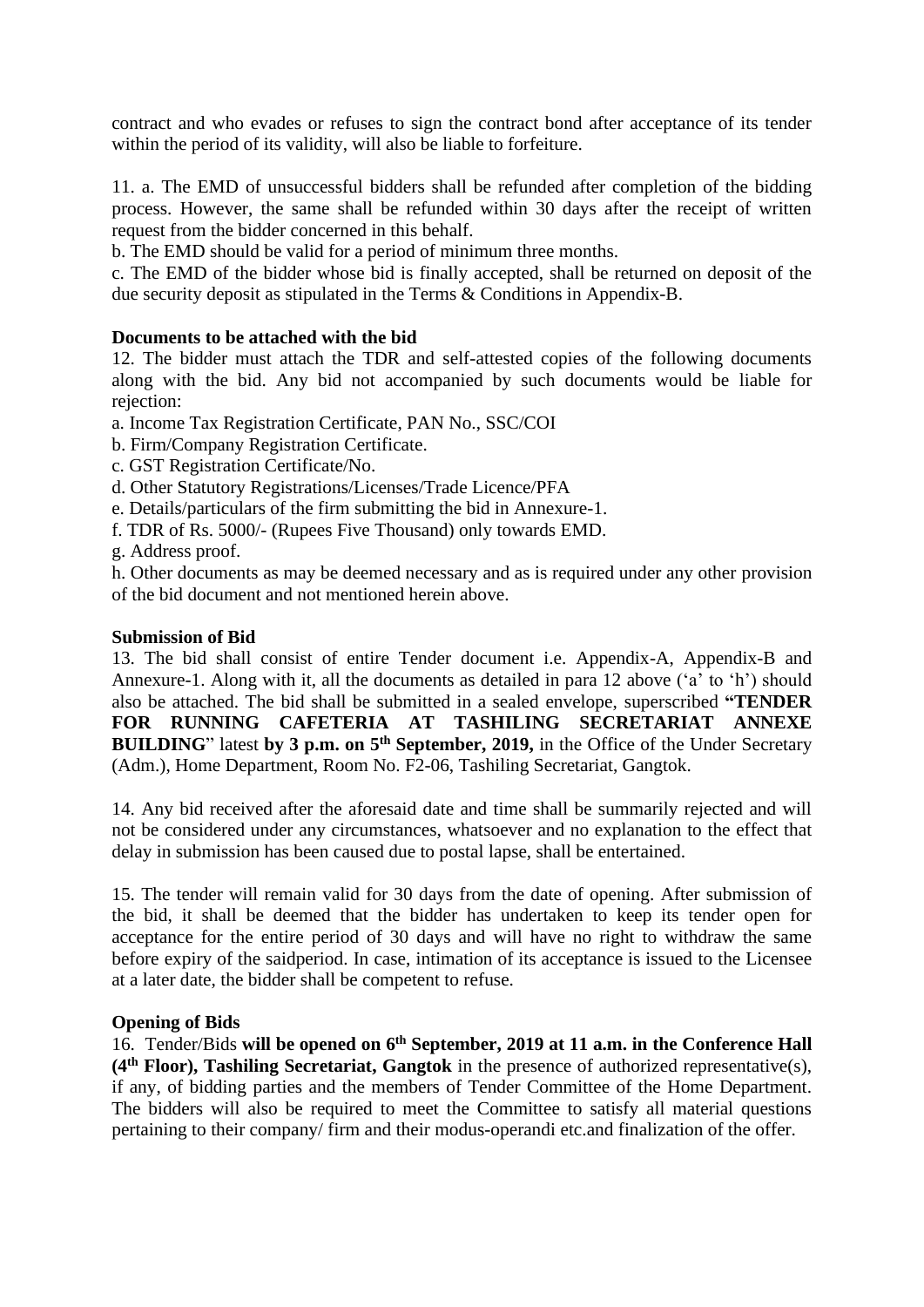contract and who evades or refuses to sign the contract bond after acceptance of its tender within the period of its validity, will also be liable to forfeiture.

11. a. The EMD of unsuccessful bidders shall be refunded after completion of the bidding process. However, the same shall be refunded within 30 days after the receipt of written request from the bidder concerned in this behalf.

b. The EMD should be valid for a period of minimum three months.

c. The EMD of the bidder whose bid is finally accepted, shall be returned on deposit of the due security deposit as stipulated in the Terms & Conditions in Appendix-B.

## **Documents to be attached with the bid**

12. The bidder must attach the TDR and self-attested copies of the following documents along with the bid. Any bid not accompanied by such documents would be liable for rejection:

a. Income Tax Registration Certificate, PAN No., SSC/COI

- b. Firm/Company Registration Certificate.
- c. GST Registration Certificate/No.
- d. Other Statutory Registrations/Licenses/Trade Licence/PFA
- e. Details/particulars of the firm submitting the bid in Annexure-1.
- f. TDR of Rs. 5000/- (Rupees Five Thousand) only towards EMD.
- g. Address proof.

h. Other documents as may be deemed necessary and as is required under any other provision of the bid document and not mentioned herein above.

#### **Submission of Bid**

13. The bid shall consist of entire Tender document i.e. Appendix-A, Appendix-B and Annexure-1. Along with it, all the documents as detailed in para 12 above ('a' to 'h') should also be attached. The bid shall be submitted in a sealed envelope, superscribed **"TENDER FOR RUNNING CAFETERIA AT TASHILING SECRETARIAT ANNEXE BUILDING**" latest **by 3 p.m. on 5 th September, 2019,** in the Office of the Under Secretary (Adm.), Home Department, Room No. F2-06, Tashiling Secretariat, Gangtok.

14. Any bid received after the aforesaid date and time shall be summarily rejected and will not be considered under any circumstances, whatsoever and no explanation to the effect that delay in submission has been caused due to postal lapse, shall be entertained.

15. The tender will remain valid for 30 days from the date of opening. After submission of the bid, it shall be deemed that the bidder has undertaken to keep its tender open for acceptance for the entire period of 30 days and will have no right to withdraw the same before expiry of the saidperiod. In case, intimation of its acceptance is issued to the Licensee at a later date, the bidder shall be competent to refuse.

## **Opening of Bids**

16. Tender/Bids **will be opened on 6 th September, 2019 at 11 a.m. in the Conference Hall (4th Floor), Tashiling Secretariat, Gangtok** in the presence of authorized representative(s), if any, of bidding parties and the members of Tender Committee of the Home Department. The bidders will also be required to meet the Committee to satisfy all material questions pertaining to their company/ firm and their modus-operandi etc.and finalization of the offer.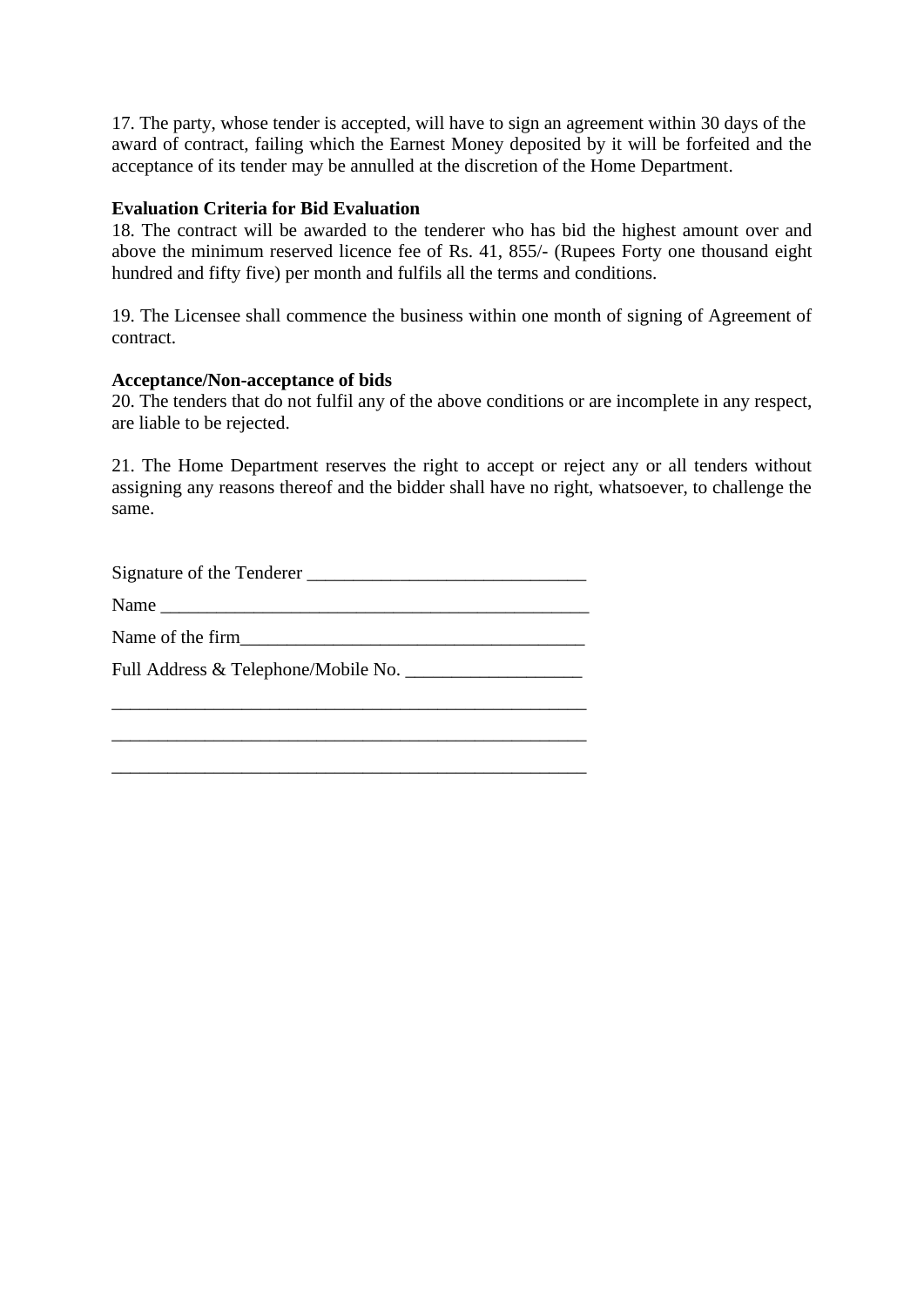17. The party, whose tender is accepted, will have to sign an agreement within 30 days of the award of contract, failing which the Earnest Money deposited by it will be forfeited and the acceptance of its tender may be annulled at the discretion of the Home Department.

## **Evaluation Criteria for Bid Evaluation**

18. The contract will be awarded to the tenderer who has bid the highest amount over and above the minimum reserved licence fee of Rs. 41, 855/- (Rupees Forty one thousand eight hundred and fifty five) per month and fulfils all the terms and conditions.

19. The Licensee shall commence the business within one month of signing of Agreement of contract.

## **Acceptance/Non-acceptance of bids**

20. The tenders that do not fulfil any of the above conditions or are incomplete in any respect, are liable to be rejected.

21. The Home Department reserves the right to accept or reject any or all tenders without assigning any reasons thereof and the bidder shall have no right, whatsoever, to challenge the same.

| Signature of the Tenderer           |  |  |
|-------------------------------------|--|--|
|                                     |  |  |
| Name of the firm Name of the firm   |  |  |
| Full Address & Telephone/Mobile No. |  |  |
|                                     |  |  |

\_\_\_\_\_\_\_\_\_\_\_\_\_\_\_\_\_\_\_\_\_\_\_\_\_\_\_\_\_\_\_\_\_\_\_\_\_\_\_\_\_\_\_\_\_\_\_\_\_\_\_

\_\_\_\_\_\_\_\_\_\_\_\_\_\_\_\_\_\_\_\_\_\_\_\_\_\_\_\_\_\_\_\_\_\_\_\_\_\_\_\_\_\_\_\_\_\_\_\_\_\_\_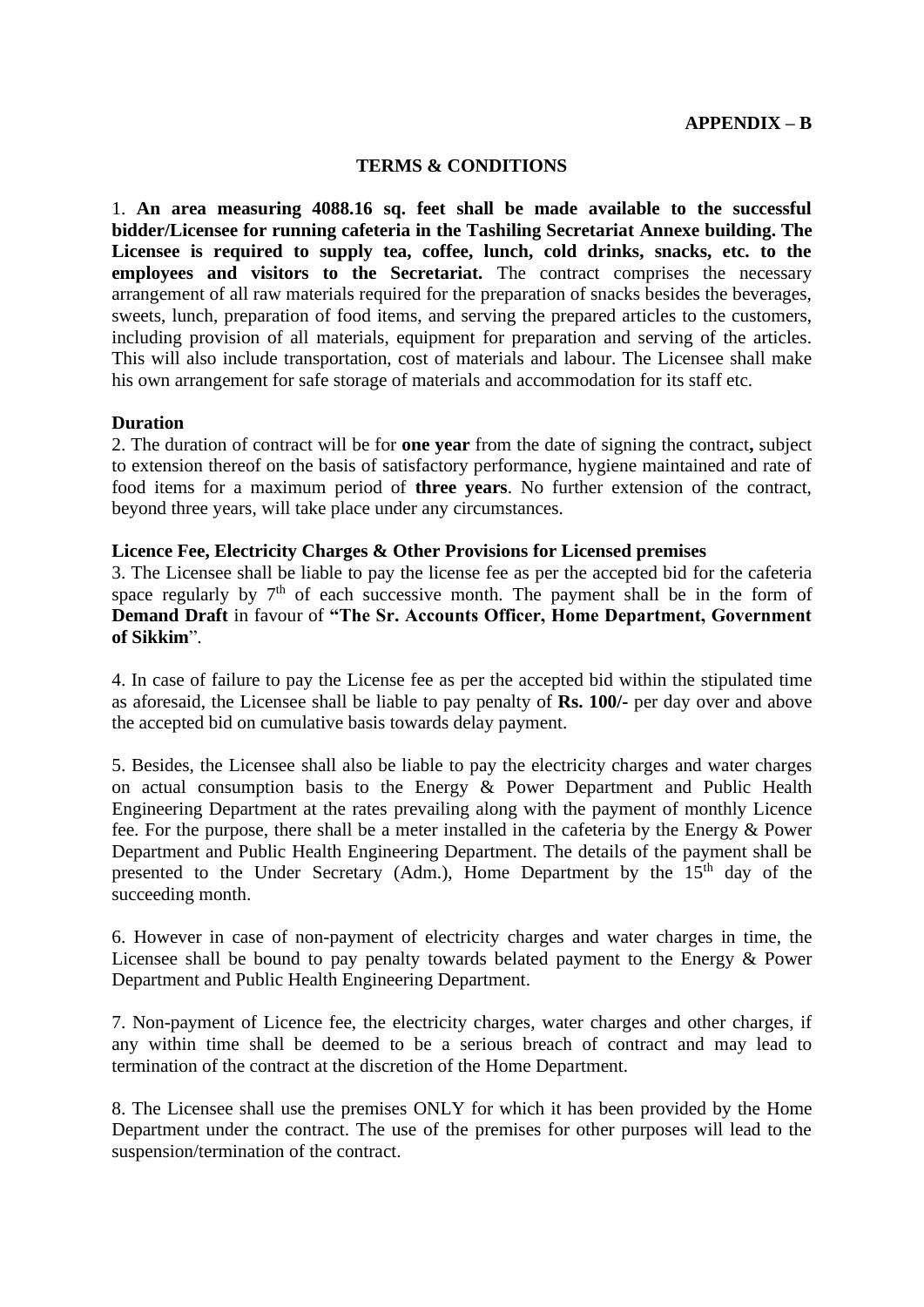## **TERMS & CONDITIONS**

1. **An area measuring 4088.16 sq. feet shall be made available to the successful bidder/Licensee for running cafeteria in the Tashiling Secretariat Annexe building. The Licensee is required to supply tea, coffee, lunch, cold drinks, snacks, etc. to the employees and visitors to the Secretariat.** The contract comprises the necessary arrangement of all raw materials required for the preparation of snacks besides the beverages, sweets, lunch, preparation of food items, and serving the prepared articles to the customers, including provision of all materials, equipment for preparation and serving of the articles. This will also include transportation, cost of materials and labour. The Licensee shall make his own arrangement for safe storage of materials and accommodation for its staff etc.

#### **Duration**

2. The duration of contract will be for **one year** from the date of signing the contract**,** subject to extension thereof on the basis of satisfactory performance, hygiene maintained and rate of food items for a maximum period of **three years**. No further extension of the contract, beyond three years, will take place under any circumstances.

## **Licence Fee, Electricity Charges & Other Provisions for Licensed premises**

3. The Licensee shall be liable to pay the license fee as per the accepted bid for the cafeteria space regularly by  $7<sup>th</sup>$  of each successive month. The payment shall be in the form of **Demand Draft** in favour of **"The Sr. Accounts Officer, Home Department, Government of Sikkim**".

4. In case of failure to pay the License fee as per the accepted bid within the stipulated time as aforesaid, the Licensee shall be liable to pay penalty of **Rs. 100/-** per day over and above the accepted bid on cumulative basis towards delay payment.

5. Besides, the Licensee shall also be liable to pay the electricity charges and water charges on actual consumption basis to the Energy & Power Department and Public Health Engineering Department at the rates prevailing along with the payment of monthly Licence fee. For the purpose, there shall be a meter installed in the cafeteria by the Energy & Power Department and Public Health Engineering Department. The details of the payment shall be presented to the Under Secretary (Adm.), Home Department by the  $15<sup>th</sup>$  day of the succeeding month.

6. However in case of non-payment of electricity charges and water charges in time, the Licensee shall be bound to pay penalty towards belated payment to the Energy  $\&$  Power Department and Public Health Engineering Department.

7. Non-payment of Licence fee, the electricity charges, water charges and other charges, if any within time shall be deemed to be a serious breach of contract and may lead to termination of the contract at the discretion of the Home Department.

8. The Licensee shall use the premises ONLY for which it has been provided by the Home Department under the contract. The use of the premises for other purposes will lead to the suspension/termination of the contract.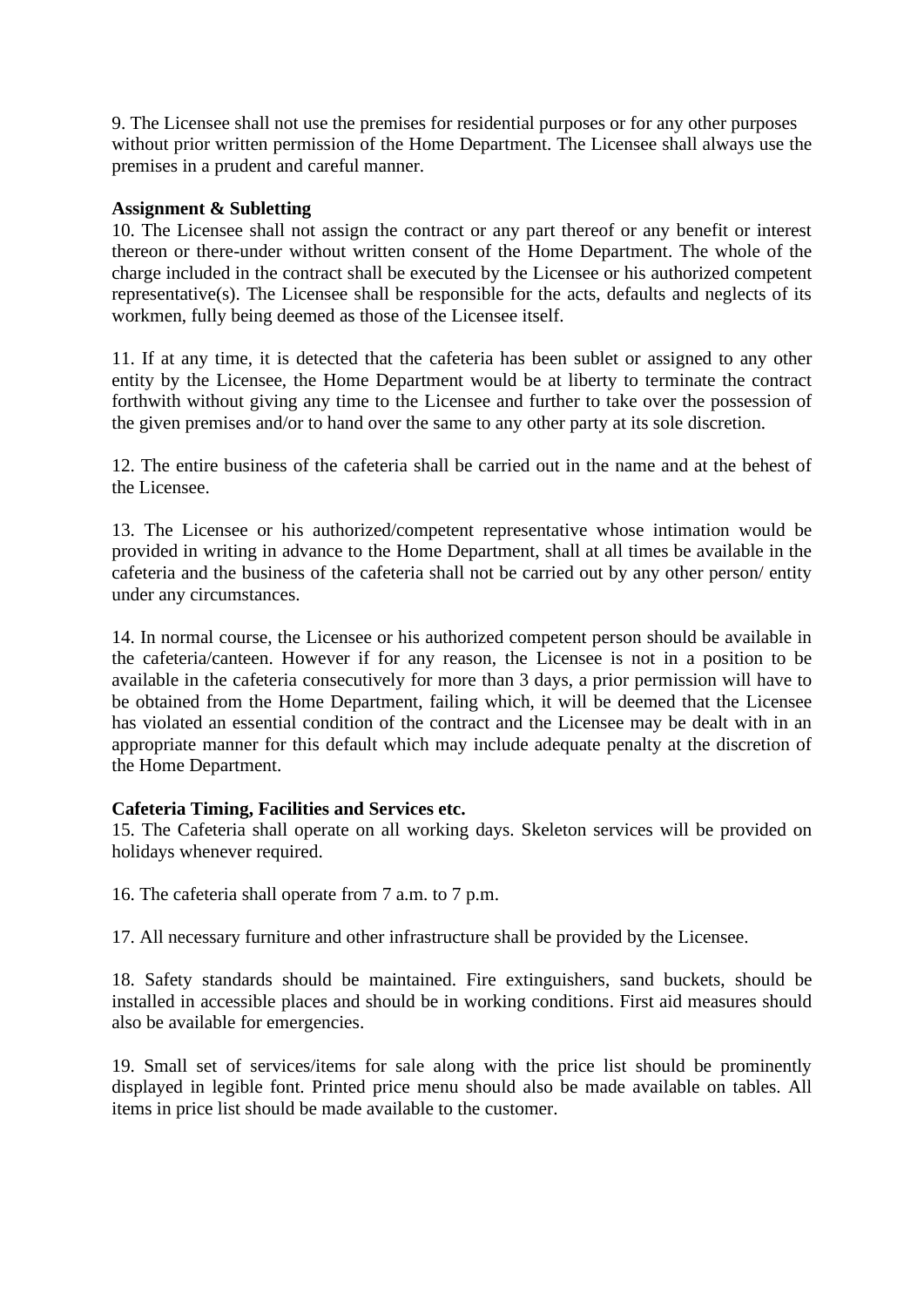9. The Licensee shall not use the premises for residential purposes or for any other purposes without prior written permission of the Home Department. The Licensee shall always use the premises in a prudent and careful manner.

## **Assignment & Subletting**

10. The Licensee shall not assign the contract or any part thereof or any benefit or interest thereon or there-under without written consent of the Home Department. The whole of the charge included in the contract shall be executed by the Licensee or his authorized competent representative(s). The Licensee shall be responsible for the acts, defaults and neglects of its workmen, fully being deemed as those of the Licensee itself.

11. If at any time, it is detected that the cafeteria has been sublet or assigned to any other entity by the Licensee, the Home Department would be at liberty to terminate the contract forthwith without giving any time to the Licensee and further to take over the possession of the given premises and/or to hand over the same to any other party at its sole discretion.

12. The entire business of the cafeteria shall be carried out in the name and at the behest of the Licensee.

13. The Licensee or his authorized/competent representative whose intimation would be provided in writing in advance to the Home Department, shall at all times be available in the cafeteria and the business of the cafeteria shall not be carried out by any other person/ entity under any circumstances.

14. In normal course, the Licensee or his authorized competent person should be available in the cafeteria/canteen. However if for any reason, the Licensee is not in a position to be available in the cafeteria consecutively for more than 3 days, a prior permission will have to be obtained from the Home Department, failing which, it will be deemed that the Licensee has violated an essential condition of the contract and the Licensee may be dealt with in an appropriate manner for this default which may include adequate penalty at the discretion of the Home Department.

## **Cafeteria Timing, Facilities and Services etc.**

15. The Cafeteria shall operate on all working days. Skeleton services will be provided on holidays whenever required.

16. The cafeteria shall operate from 7 a.m. to 7 p.m.

17. All necessary furniture and other infrastructure shall be provided by the Licensee.

18. Safety standards should be maintained. Fire extinguishers, sand buckets, should be installed in accessible places and should be in working conditions. First aid measures should also be available for emergencies.

19. Small set of services/items for sale along with the price list should be prominently displayed in legible font. Printed price menu should also be made available on tables. All items in price list should be made available to the customer.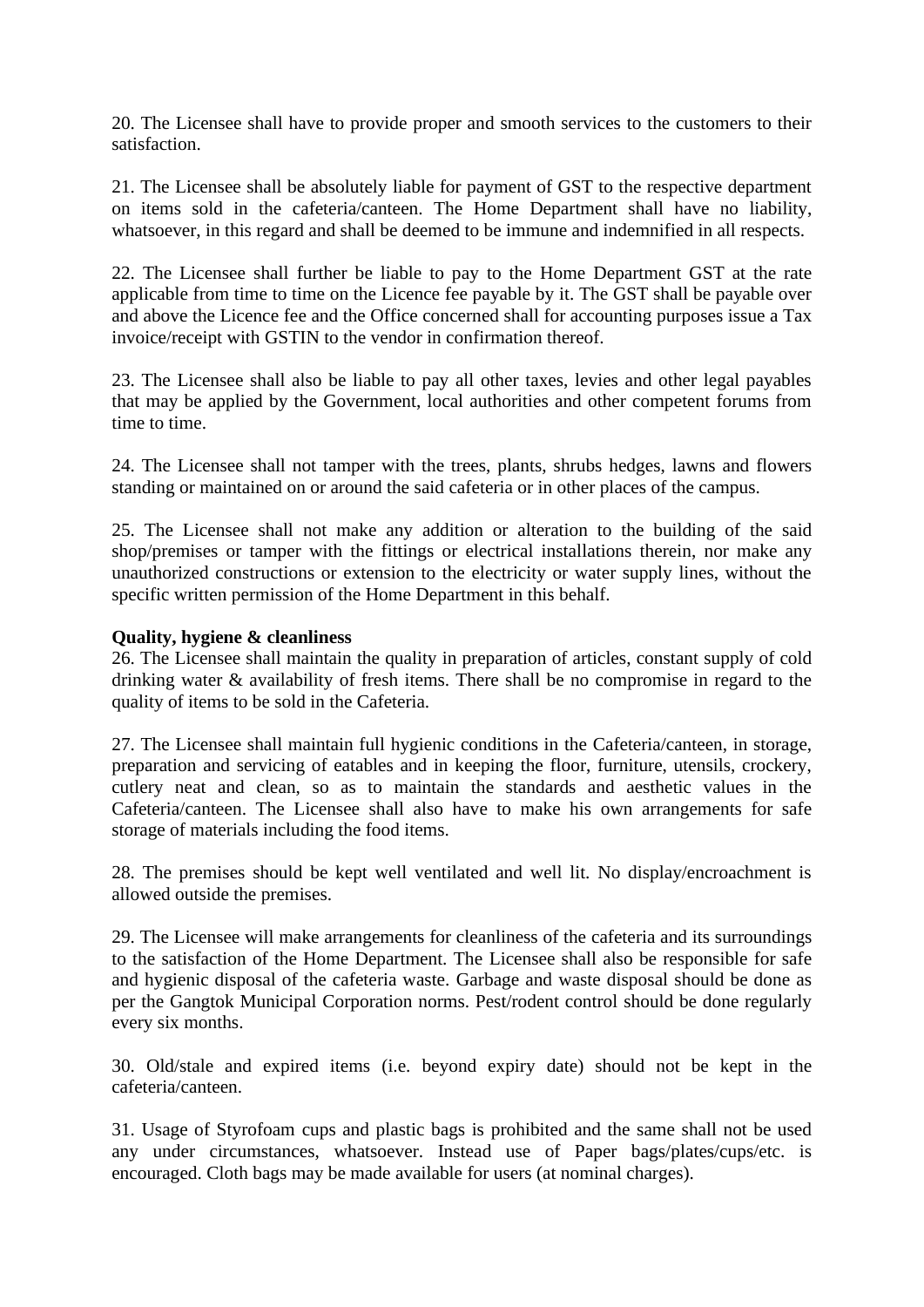20. The Licensee shall have to provide proper and smooth services to the customers to their satisfaction.

21. The Licensee shall be absolutely liable for payment of GST to the respective department on items sold in the cafeteria/canteen. The Home Department shall have no liability, whatsoever, in this regard and shall be deemed to be immune and indemnified in all respects.

22. The Licensee shall further be liable to pay to the Home Department GST at the rate applicable from time to time on the Licence fee payable by it. The GST shall be payable over and above the Licence fee and the Office concerned shall for accounting purposes issue a Tax invoice/receipt with GSTIN to the vendor in confirmation thereof.

23. The Licensee shall also be liable to pay all other taxes, levies and other legal payables that may be applied by the Government, local authorities and other competent forums from time to time.

24. The Licensee shall not tamper with the trees, plants, shrubs hedges, lawns and flowers standing or maintained on or around the said cafeteria or in other places of the campus.

25. The Licensee shall not make any addition or alteration to the building of the said shop/premises or tamper with the fittings or electrical installations therein, nor make any unauthorized constructions or extension to the electricity or water supply lines, without the specific written permission of the Home Department in this behalf.

## **Quality, hygiene & cleanliness**

26. The Licensee shall maintain the quality in preparation of articles, constant supply of cold drinking water & availability of fresh items. There shall be no compromise in regard to the quality of items to be sold in the Cafeteria.

27. The Licensee shall maintain full hygienic conditions in the Cafeteria/canteen, in storage, preparation and servicing of eatables and in keeping the floor, furniture, utensils, crockery, cutlery neat and clean, so as to maintain the standards and aesthetic values in the Cafeteria/canteen. The Licensee shall also have to make his own arrangements for safe storage of materials including the food items.

28. The premises should be kept well ventilated and well lit. No display/encroachment is allowed outside the premises.

29. The Licensee will make arrangements for cleanliness of the cafeteria and its surroundings to the satisfaction of the Home Department. The Licensee shall also be responsible for safe and hygienic disposal of the cafeteria waste. Garbage and waste disposal should be done as per the Gangtok Municipal Corporation norms. Pest/rodent control should be done regularly every six months.

30. Old/stale and expired items (i.e. beyond expiry date) should not be kept in the cafeteria/canteen.

31. Usage of Styrofoam cups and plastic bags is prohibited and the same shall not be used any under circumstances, whatsoever. Instead use of Paper bags/plates/cups/etc. is encouraged. Cloth bags may be made available for users (at nominal charges).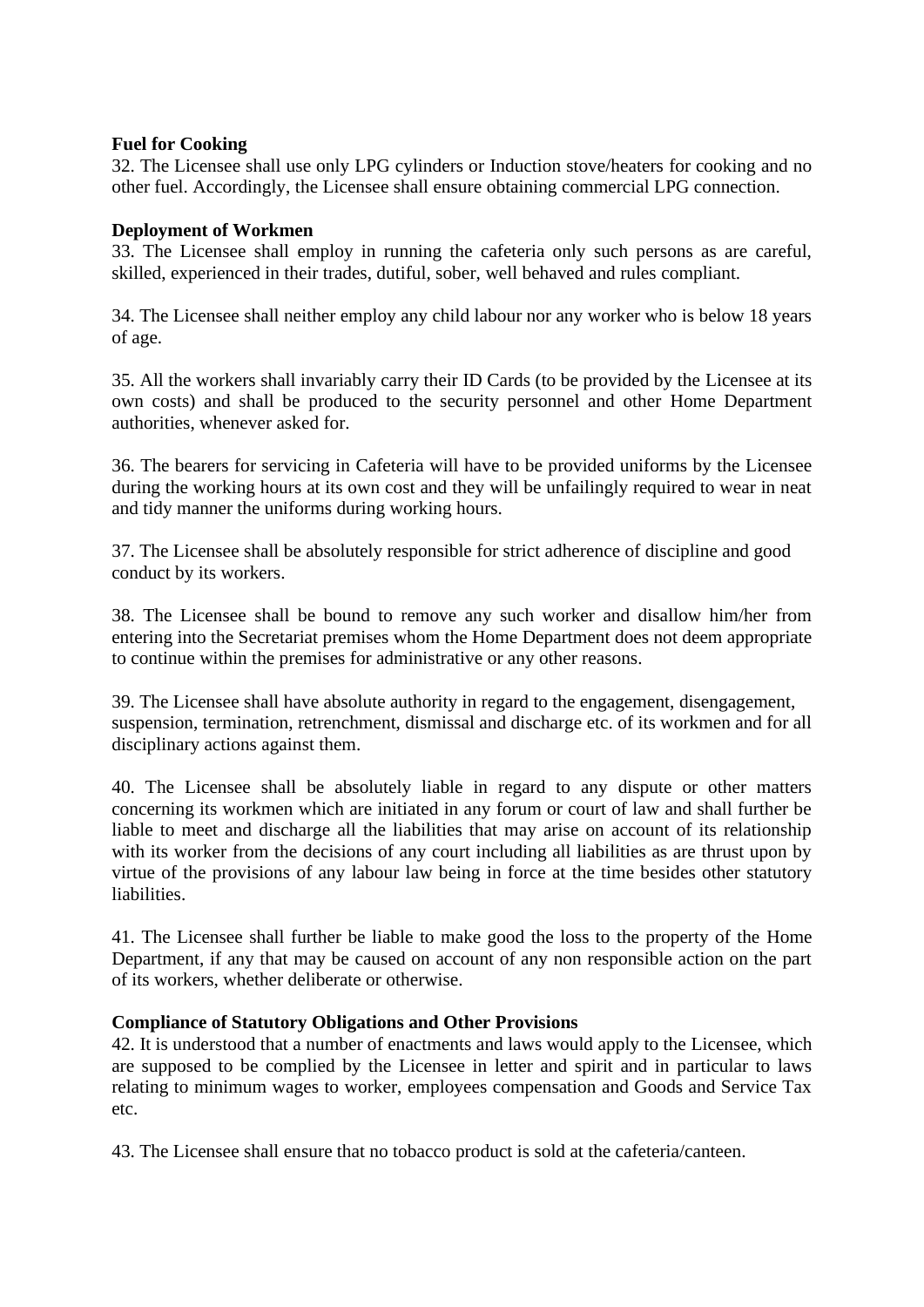## **Fuel for Cooking**

32. The Licensee shall use only LPG cylinders or Induction stove/heaters for cooking and no other fuel. Accordingly, the Licensee shall ensure obtaining commercial LPG connection.

## **Deployment of Workmen**

33. The Licensee shall employ in running the cafeteria only such persons as are careful, skilled, experienced in their trades, dutiful, sober, well behaved and rules compliant.

34. The Licensee shall neither employ any child labour nor any worker who is below 18 years of age.

35. All the workers shall invariably carry their ID Cards (to be provided by the Licensee at its own costs) and shall be produced to the security personnel and other Home Department authorities, whenever asked for.

36. The bearers for servicing in Cafeteria will have to be provided uniforms by the Licensee during the working hours at its own cost and they will be unfailingly required to wear in neat and tidy manner the uniforms during working hours.

37. The Licensee shall be absolutely responsible for strict adherence of discipline and good conduct by its workers.

38. The Licensee shall be bound to remove any such worker and disallow him/her from entering into the Secretariat premises whom the Home Department does not deem appropriate to continue within the premises for administrative or any other reasons.

39. The Licensee shall have absolute authority in regard to the engagement, disengagement, suspension, termination, retrenchment, dismissal and discharge etc. of its workmen and for all disciplinary actions against them.

40. The Licensee shall be absolutely liable in regard to any dispute or other matters concerning its workmen which are initiated in any forum or court of law and shall further be liable to meet and discharge all the liabilities that may arise on account of its relationship with its worker from the decisions of any court including all liabilities as are thrust upon by virtue of the provisions of any labour law being in force at the time besides other statutory liabilities.

41. The Licensee shall further be liable to make good the loss to the property of the Home Department, if any that may be caused on account of any non responsible action on the part of its workers, whether deliberate or otherwise.

## **Compliance of Statutory Obligations and Other Provisions**

42. It is understood that a number of enactments and laws would apply to the Licensee, which are supposed to be complied by the Licensee in letter and spirit and in particular to laws relating to minimum wages to worker, employees compensation and Goods and Service Tax etc.

43. The Licensee shall ensure that no tobacco product is sold at the cafeteria/canteen.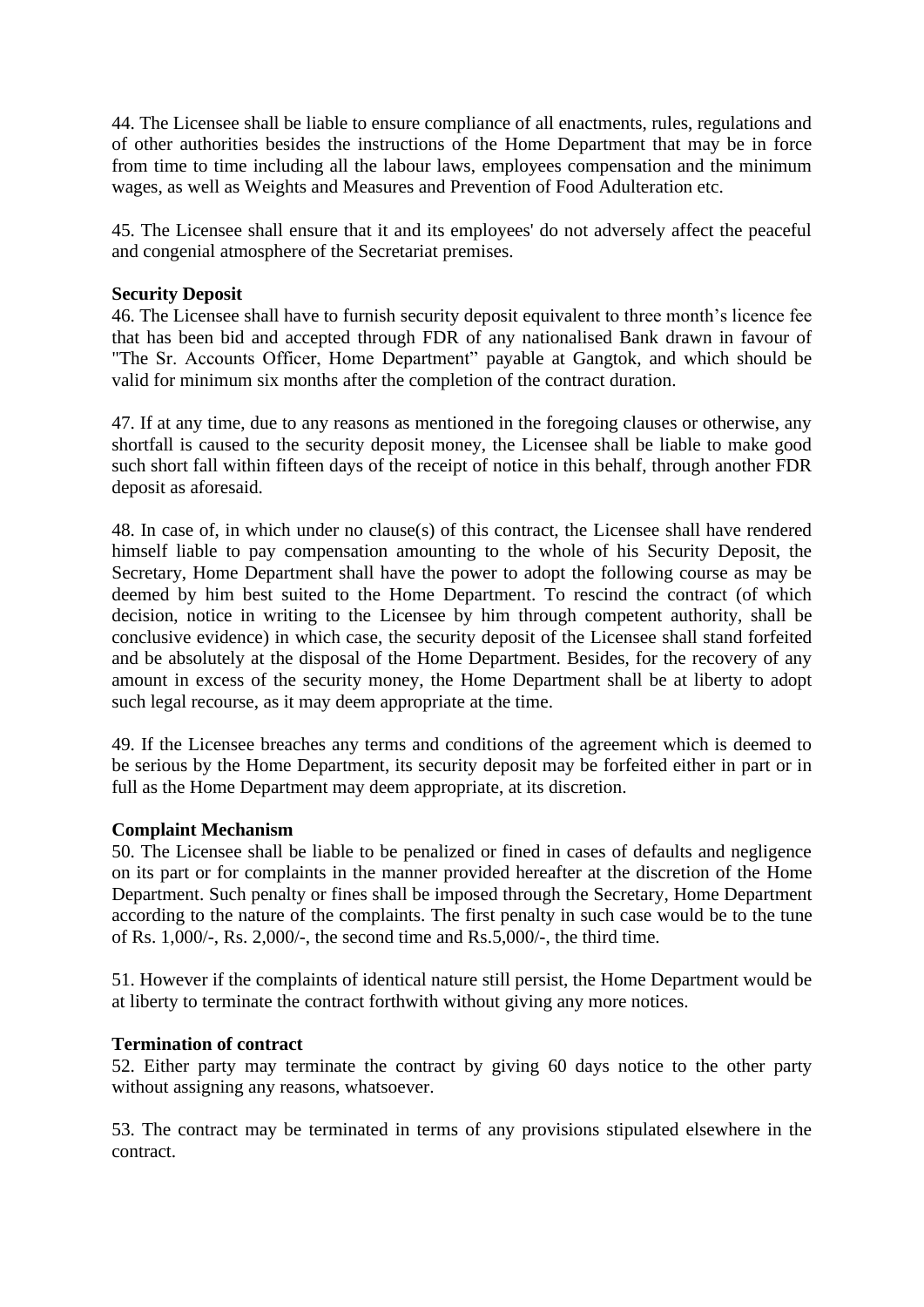44. The Licensee shall be liable to ensure compliance of all enactments, rules, regulations and of other authorities besides the instructions of the Home Department that may be in force from time to time including all the labour laws, employees compensation and the minimum wages, as well as Weights and Measures and Prevention of Food Adulteration etc.

45. The Licensee shall ensure that it and its employees' do not adversely affect the peaceful and congenial atmosphere of the Secretariat premises.

## **Security Deposit**

46. The Licensee shall have to furnish security deposit equivalent to three month's licence fee that has been bid and accepted through FDR of any nationalised Bank drawn in favour of "The Sr. Accounts Officer, Home Department" payable at Gangtok, and which should be valid for minimum six months after the completion of the contract duration.

47. If at any time, due to any reasons as mentioned in the foregoing clauses or otherwise, any shortfall is caused to the security deposit money, the Licensee shall be liable to make good such short fall within fifteen days of the receipt of notice in this behalf, through another FDR deposit as aforesaid.

48. In case of, in which under no clause(s) of this contract, the Licensee shall have rendered himself liable to pay compensation amounting to the whole of his Security Deposit, the Secretary, Home Department shall have the power to adopt the following course as may be deemed by him best suited to the Home Department. To rescind the contract (of which decision, notice in writing to the Licensee by him through competent authority, shall be conclusive evidence) in which case, the security deposit of the Licensee shall stand forfeited and be absolutely at the disposal of the Home Department. Besides, for the recovery of any amount in excess of the security money, the Home Department shall be at liberty to adopt such legal recourse, as it may deem appropriate at the time.

49. If the Licensee breaches any terms and conditions of the agreement which is deemed to be serious by the Home Department, its security deposit may be forfeited either in part or in full as the Home Department may deem appropriate, at its discretion.

## **Complaint Mechanism**

50. The Licensee shall be liable to be penalized or fined in cases of defaults and negligence on its part or for complaints in the manner provided hereafter at the discretion of the Home Department. Such penalty or fines shall be imposed through the Secretary, Home Department according to the nature of the complaints. The first penalty in such case would be to the tune of Rs. 1,000/-, Rs. 2,000/-, the second time and Rs.5,000/-, the third time.

51. However if the complaints of identical nature still persist, the Home Department would be at liberty to terminate the contract forthwith without giving any more notices.

## **Termination of contract**

52. Either party may terminate the contract by giving 60 days notice to the other party without assigning any reasons, whatsoever.

53. The contract may be terminated in terms of any provisions stipulated elsewhere in the contract.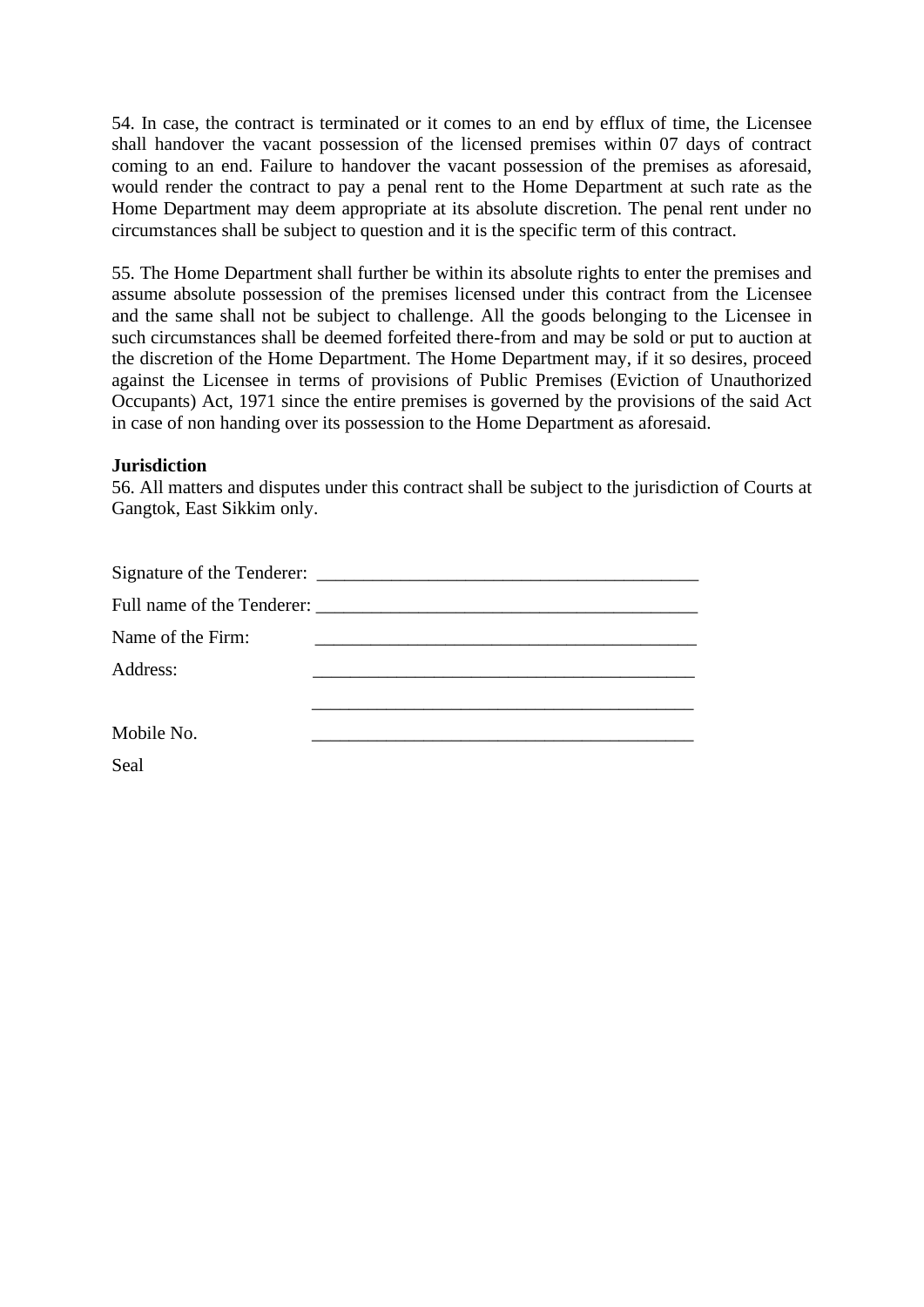54. In case, the contract is terminated or it comes to an end by efflux of time, the Licensee shall handover the vacant possession of the licensed premises within 07 days of contract coming to an end. Failure to handover the vacant possession of the premises as aforesaid, would render the contract to pay a penal rent to the Home Department at such rate as the Home Department may deem appropriate at its absolute discretion. The penal rent under no circumstances shall be subject to question and it is the specific term of this contract.

55. The Home Department shall further be within its absolute rights to enter the premises and assume absolute possession of the premises licensed under this contract from the Licensee and the same shall not be subject to challenge. All the goods belonging to the Licensee in such circumstances shall be deemed forfeited there-from and may be sold or put to auction at the discretion of the Home Department. The Home Department may, if it so desires, proceed against the Licensee in terms of provisions of Public Premises (Eviction of Unauthorized Occupants) Act, 1971 since the entire premises is governed by the provisions of the said Act in case of non handing over its possession to the Home Department as aforesaid.

#### **Jurisdiction**

56. All matters and disputes under this contract shall be subject to the jurisdiction of Courts at Gangtok, East Sikkim only.

|                   | Full name of the Tenderer: |
|-------------------|----------------------------|
| Name of the Firm: |                            |
| Address:          |                            |
|                   |                            |
| Mobile No.        |                            |
| Seal              |                            |